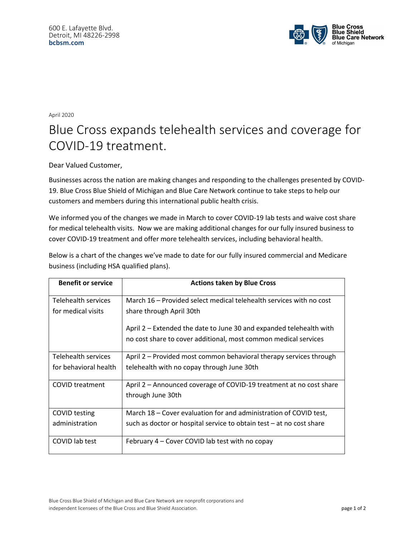

April 2020

## Blue Cross expands telehealth services and coverage for COVID-19 treatment.

Dear Valued Customer,

Businesses across the nation are making changes and responding to the challenges presented by COVID-19. Blue Cross Blue Shield of Michigan and Blue Care Network continue to take steps to help our customers and members during this international public health crisis.

We informed you of the changes we made in March to cover COVID-19 lab tests and waive cost share for medical telehealth visits. Now we are making additional changes for our fully insured business to cover COVID-19 treatment and offer more telehealth services, including behavioral health.

Below is a chart of the changes we've made to date for our fully insured commercial and Medicare business (including HSA qualified plans).

| <b>Benefit or service</b> | <b>Actions taken by Blue Cross</b>                                   |
|---------------------------|----------------------------------------------------------------------|
| Telehealth services       | March 16 – Provided select medical telehealth services with no cost  |
|                           |                                                                      |
| for medical visits        | share through April 30th                                             |
|                           | April 2 – Extended the date to June 30 and expanded telehealth with  |
|                           |                                                                      |
|                           | no cost share to cover additional, most common medical services      |
| Telehealth services       | April 2 – Provided most common behavioral therapy services through   |
| for behavioral health     | telehealth with no copay through June 30th                           |
|                           |                                                                      |
| <b>COVID</b> treatment    | April 2 – Announced coverage of COVID-19 treatment at no cost share  |
|                           | through June 30th                                                    |
|                           |                                                                      |
| COVID testing             | March 18 - Cover evaluation for and administration of COVID test,    |
| administration            | such as doctor or hospital service to obtain test – at no cost share |
|                           |                                                                      |
| COVID lab test            | February 4 – Cover COVID lab test with no copay                      |
|                           |                                                                      |